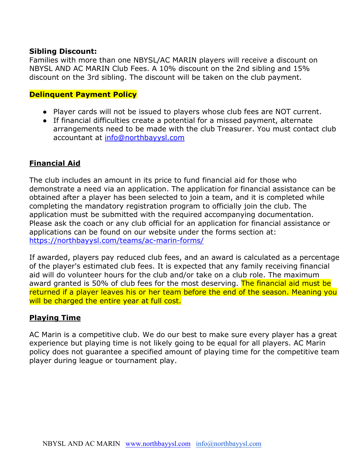### **Sibling Discount:**

Families with more than one NBYSL/AC MARIN players will receive a discount on NBYSL AND AC MARIN Club Fees. A 10% discount on the 2nd sibling and 15% discount on the 3rd sibling. The discount will be taken on the club payment.

#### **Delinquent Payment Policy**

- Player cards will not be issued to players whose club fees are NOT current.
- If financial difficulties create a potential for a missed payment, alternate arrangements need to be made with the club Treasurer. You must contact club accountant at [info@northbayysl.com](mailto:info@northbayysl.com)

### **Financial Aid**

The club includes an amount in its price to fund financial aid for those who demonstrate a need via an application. The application for financial assistance can be obtained after a player has been selected to join a team, and it is completed while completing the mandatory registration program to officially join the club. The application must be submitted with the required accompanying documentation. Please ask the coach or any club official for an application for financial assistance or applications can be found on our website under the forms section at: <https://northbayysl.com/teams/ac-marin-forms/>

If awarded, players pay reduced club fees, and an award is calculated as a percentage of the player's estimated club fees. It is expected that any family receiving financial aid will do volunteer hours for the club and/or take on a club role. The maximum award granted is 50% of club fees for the most deserving. The financial aid must be returned if a player leaves his or her team before the end of the season. Meaning you will be charged the entire year at full cost.

#### **Playing Time**

AC Marin is a competitive club. We do our best to make sure every player has a great experience but playing time is not likely going to be equal for all players. AC Marin policy does not guarantee a specified amount of playing time for the competitive team player during league or tournament play.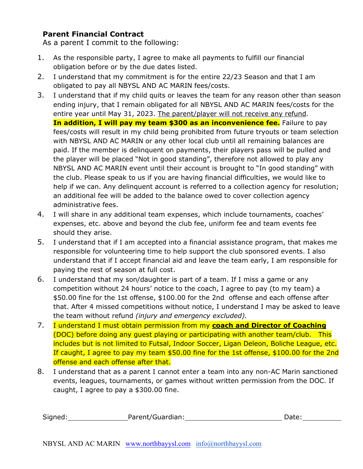## **Parent Financial Contract**

As a parent I commit to the following:

- 1. As the responsible party, I agree to make all payments to fulfill our financial obligation before or by the due dates listed.
- 2. I understand that my commitment is for the entire 22/23 Season and that I am obligated to pay all NBYSL AND AC MARIN fees/costs.
- 3. I understand that if my child quits or leaves the team for any reason other than season ending injury, that I remain obligated for all NBYSL AND AC MARIN fees/costs for the entire year until May 31, 2023. The parent/player will not receive any refund. **In addition, I will pay my team \$300 as an inconvenience fee.** Failure to pay fees/costs will result in my child being prohibited from future tryouts or team selection with NBYSL AND AC MARIN or any other local club until all remaining balances are paid. If the member is delinquent on payments, their players pass will be pulled and the player will be placed "Not in good standing", therefore not allowed to play any NBYSL AND AC MARIN event until their account is brought to "In good standing" with the club. Please speak to us if you are having financial difficulties, we would like to help if we can. Any delinquent account is referred to a collection agency for resolution; an additional fee will be added to the balance owed to cover collection agency administrative fees.
- 4. I will share in any additional team expenses, which include tournaments, coaches' expenses, etc. above and beyond the club fee, uniform fee and team events fee should they arise.
- 5. I understand that if I am accepted into a financial assistance program, that makes me responsible for volunteering time to help support the club sponsored events. I also understand that if I accept financial aid and leave the team early, I am responsible for paying the rest of season at full cost.
- 6. I understand that my son/daughter is part of a team. If I miss a game or any competition without 24 hours' notice to the coach, I agree to pay (to my team) a \$50.00 fine for the 1st offense, \$100.00 for the 2nd offense and each offense after that. After 4 missed competitions without notice, I understand I may be asked to leave the team without refund *(injury and emergency excluded).*
- 7. I understand I must obtain permission from my **coach and Director of Coaching** (DOC) before doing any guest playing or participating with another team/club. This includes but is not limited to Futsal, Indoor Soccer, Ligan Deleon, Boliche League, etc. If caught, I agree to pay my team \$50.00 fine for the 1st offense, \$100.00 for the 2nd offense and each offense after that.
- 8. I understand that as a parent I cannot enter a team into any non-AC Marin sanctioned events, leagues, tournaments, or games without written permission from the DOC. If caught, I agree to pay a \$300.00 fine.

| Signed: | Parent/Guardian: | Date: |  |
|---------|------------------|-------|--|
|         |                  |       |  |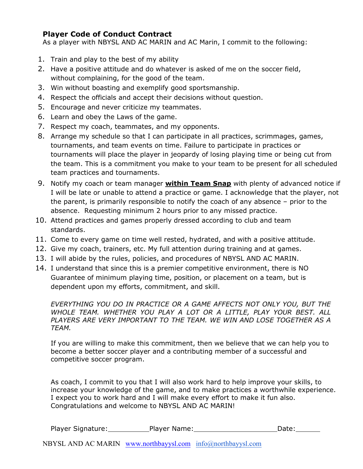## **Player Code of Conduct Contract**

As a player with NBYSL AND AC MARIN and AC Marin, I commit to the following:

- 1. Train and play to the best of my ability
- 2. Have a positive attitude and do whatever is asked of me on the soccer field, without complaining, for the good of the team.
- 3. Win without boasting and exemplify good sportsmanship.
- 4. Respect the officials and accept their decisions without question.
- 5. Encourage and never criticize my teammates.
- 6. Learn and obey the Laws of the game.
- 7. Respect my coach, teammates, and my opponents.
- 8. Arrange my schedule so that I can participate in all practices, scrimmages, games, tournaments, and team events on time. Failure to participate in practices or tournaments will place the player in jeopardy of losing playing time or being cut from the team. This is a commitment you make to your team to be present for all scheduled team practices and tournaments.
- 9. Notify my coach or team manager **within Team Snap** with plenty of advanced notice if I will be late or unable to attend a practice or game. I acknowledge that the player, not the parent, is primarily responsible to notify the coach of any absence – prior to the absence. Requesting minimum 2 hours prior to any missed practice.
- 10. Attend practices and games properly dressed according to club and team standards.
- 11. Come to every game on time well rested, hydrated, and with a positive attitude.
- 12. Give my coach, trainers, etc. My full attention during training and at games.
- 13. I will abide by the rules, policies, and procedures of NBYSL AND AC MARIN.
- 14. I understand that since this is a premier competitive environment, there is NO Guarantee of minimum playing time, position, or placement on a team, but is dependent upon my efforts, commitment, and skill.

*EVERYTHING YOU DO IN PRACTICE OR A GAME AFFECTS NOT ONLY YOU, BUT THE WHOLE TEAM. WHETHER YOU PLAY A LOT OR A LITTLE, PLAY YOUR BEST. ALL PLAYERS ARE VERY IMPORTANT TO THE TEAM. WE WIN AND LOSE TOGETHER AS A TEAM.*

If you are willing to make this commitment, then we believe that we can help you to become a better soccer player and a contributing member of a successful and competitive soccer program.

As coach, I commit to you that I will also work hard to help improve your skills, to increase your knowledge of the game, and to make practices a worthwhile experience. I expect you to work hard and I will make every effort to make it fun also. Congratulations and welcome to NBYSL AND AC MARIN!

| <b>Player Signature:</b> | Player Name: | Date: |
|--------------------------|--------------|-------|
|                          |              |       |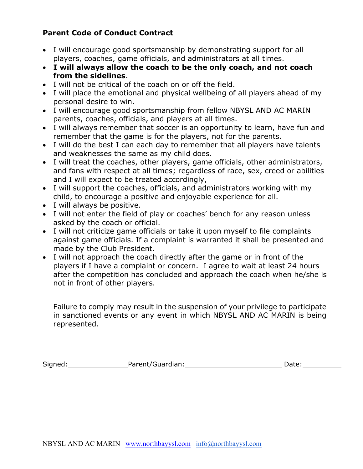## **Parent Code of Conduct Contract**

- I will encourage good sportsmanship by demonstrating support for all players, coaches, game officials, and administrators at all times.
- **I will always allow the coach to be the only coach, and not coach from the sidelines**.
- I will not be critical of the coach on or off the field.
- I will place the emotional and physical wellbeing of all players ahead of my personal desire to win.
- I will encourage good sportsmanship from fellow NBYSL AND AC MARIN parents, coaches, officials, and players at all times.
- I will always remember that soccer is an opportunity to learn, have fun and remember that the game is for the players, not for the parents.
- I will do the best I can each day to remember that all players have talents and weaknesses the same as my child does.
- I will treat the coaches, other players, game officials, other administrators, and fans with respect at all times; regardless of race, sex, creed or abilities and I will expect to be treated accordingly,
- I will support the coaches, officials, and administrators working with my child, to encourage a positive and enjoyable experience for all.
- I will always be positive.
- I will not enter the field of play or coaches' bench for any reason unless asked by the coach or official.
- I will not criticize game officials or take it upon myself to file complaints against game officials. If a complaint is warranted it shall be presented and made by the Club President.
- I will not approach the coach directly after the game or in front of the players if I have a complaint or concern. I agree to wait at least 24 hours after the competition has concluded and approach the coach when he/she is not in front of other players.

Failure to comply may result in the suspension of your privilege to participate in sanctioned events or any event in which NBYSL AND AC MARIN is being represented.

| Signed: | Parent/Guardian: | Date: |
|---------|------------------|-------|
|         |                  |       |